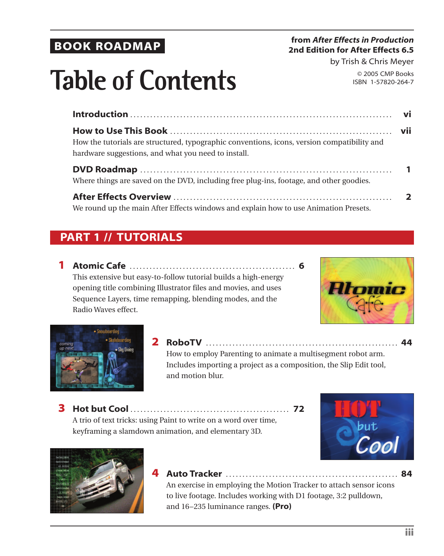### **BOOK ROADMAP**

#### **from** *After Effects in Production*  **2nd Edition for After Effects 6.5**

by Trish & Chris Meyer

© 2005 CMP Books ISBN 1-57820-264-7

# **Table of Contents**

| How the tutorials are structured, typographic conventions, icons, version compatibility and<br>hardware suggestions, and what you need to install. |  |
|----------------------------------------------------------------------------------------------------------------------------------------------------|--|
| Where things are saved on the DVD, including free plug-ins, footage, and other goodies.                                                            |  |
| We round up the main After Effects windows and explain how to use Animation Presets.                                                               |  |

### **PART 1 // TUTORIALS**

**1 Atomic Cafe** . . . . . . . . . . . . . . . . . . . . . . . . . . . . . . . . . . . . . . . . . . . . . . . . . . **6** This extensive but easy-to-follow tutorial builds a high-energy opening title combining Illustrator files and movies, and uses Sequence Layers, time remapping, blending modes, and the Radio Waves effect.





**2 RoboTV** . . . . . . . . . . . . . . . . . . . . . . . . . . . . . . . . . . . . . . . . . . . . . . . . . . . . . . . . . . **44** How to employ Parenting to animate a multisegment robot arm. Includes importing a project as a composition, the Slip Edit tool, and motion blur.

**3 Hot but Cool** . . . . . . . . . . . . . . . . . . . . . . . . . . . . . . . . . . . . . . . . . . . . . . . . **72** A trio of text tricks: using Paint to write on a word over time, keyframing a slamdown animation, and elementary 3D.





**4 Auto Tracker** . . . . . . . . . . . . . . . . . . . . . . . . . . . . . . . . . . . . . . . . . . . . . . . . . . . . **84** An exercise in employing the Motion Tracker to attach sensor icons to live footage. Includes working with D1 footage, 3:2 pulldown, and 16–235 luminance ranges. **(Pro)**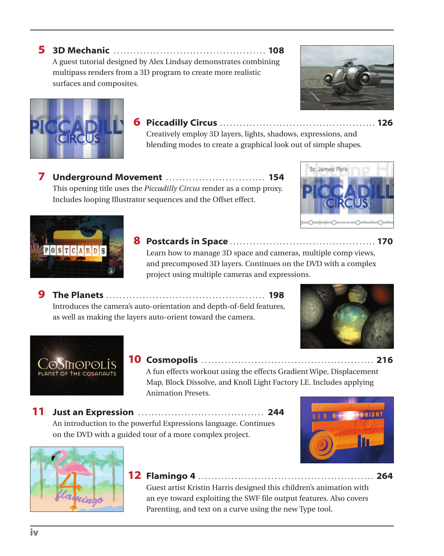**5 3D Mechanic** . . . . . . . . . . . . . . . . . . . . . . . . . . . . . . . . . . . . . . . . . . . . . . **108** A guest tutorial designed by Alex Lindsay demonstrates combining multipass renders from a 3D program to create more realistic surfaces and composites.



Creatively employ 3D layers, lights, shadows, expressions, and blending modes to create a graphical look out of simple shapes.

**7 Underground Movement** . . . . . . . . . . . . . . . . . . . . . . . . . . . . . . **154** This opening title uses the *Piccadilly Circus* render as a comp proxy. Includes looping Illustrator sequences and the Offset effect.





**8 Postcards in Space** . . . . . . . . . . . . . . . . . . . . . . . . . . . . . . . . . . . . . . . . . . . . **170** Learn how to manage 3D space and cameras, multiple comp views, and precomposed 3D layers. Continues on the DVD with a complex project using multiple cameras and expressions.

**9 The Planets** . . . . . . . . . . . . . . . . . . . . . . . . . . . . . . . . . . . . . . . . . . . . . . . . **198** Introduces the camera's auto-orientation and depth-of-field features, as well as making the layers auto-orient toward the camera.





**10 Cosmopolis** . . . . . . . . . . . . . . . . . . . . . . . . . . . . . . . . . . . . . . . . . . . . . . . . . . . . **216**

A fun effects workout using the effects Gradient Wipe, Displacement Map, Block Dissolve, and Knoll Light Factory LE. Includes applying Animation Presets.

**11 Just an Expression** . . . . . . . . . . . . . . . . . . . . . . . . . . . . . . . . . . . . . . **244** An introduction to the powerful Expressions language. Continues on the DVD with a guided tour of a more complex project.





**12 Flamingo 4** . . . . . . . . . . . . . . . . . . . . . . . . . . . . . . . . . . . . . . . . . . . . . . . . . . . . . **264**

Guest artist Kristin Harris designed this children's animation with an eye toward exploiting the SWF file output features. Also covers Parenting, and text on a curve using the new Type tool.